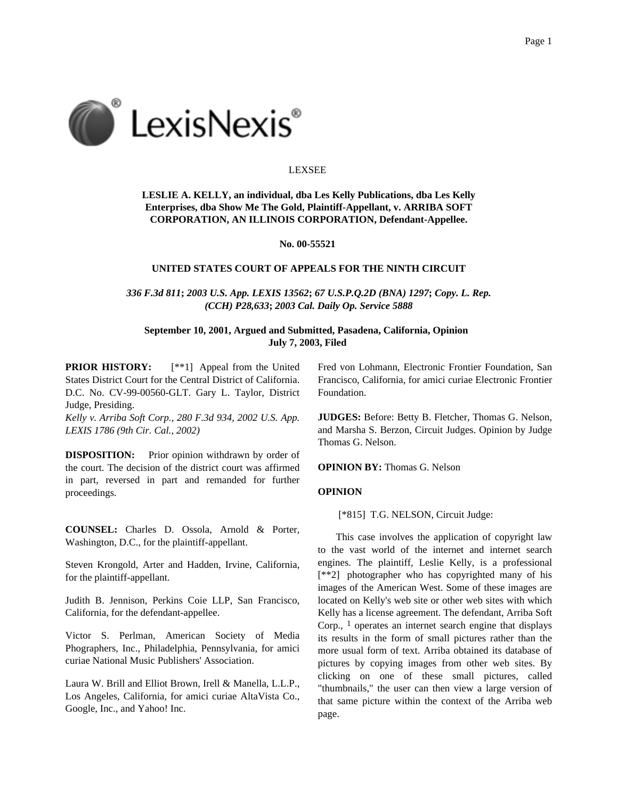

#### LEXSEE

**LESLIE A. KELLY, an individual, dba Les Kelly Publications, dba Les Kelly Enterprises, dba Show Me The Gold, Plaintiff-Appellant, v. ARRIBA SOFT CORPORATION, AN ILLINOIS CORPORATION, Defendant-Appellee.**

**No. 00-55521**

#### **UNITED STATES COURT OF APPEALS FOR THE NINTH CIRCUIT**

*336 F.3d 811***;** *2003 U.S. App. LEXIS 13562***;** *67 U.S.P.Q.2D (BNA) 1297***;** *Copy. L. Rep. (CCH) P28,633***;** *2003 Cal. Daily Op. Service 5888*

**September 10, 2001, Argued and Submitted, Pasadena, California, Opinion July 7, 2003, Filed**

**PRIOR HISTORY:** [\*\*1] Appeal from the United States District Court for the Central District of California. D.C. No. CV-99-00560-GLT. Gary L. Taylor, District Judge, Presiding.

*Kelly v. Arriba Soft Corp., 280 F.3d 934, 2002 U.S. App. LEXIS 1786 (9th Cir. Cal., 2002)*

**DISPOSITION:** Prior opinion withdrawn by order of the court. The decision of the district court was affirmed in part, reversed in part and remanded for further proceedings.

**COUNSEL:** Charles D. Ossola, Arnold & Porter, Washington, D.C., for the plaintiff-appellant.

Steven Krongold, Arter and Hadden, Irvine, California, for the plaintiff-appellant.

Judith B. Jennison, Perkins Coie LLP, San Francisco, California, for the defendant-appellee.

Victor S. Perlman, American Society of Media Phographers, Inc., Philadelphia, Pennsylvania, for amici curiae National Music Publishers' Association.

Laura W. Brill and Elliot Brown, Irell & Manella, L.L.P., Los Angeles, California, for amici curiae AltaVista Co., Google, Inc., and Yahoo! Inc.

Fred von Lohmann, Electronic Frontier Foundation, San Francisco, California, for amici curiae Electronic Frontier Foundation.

**JUDGES:** Before: Betty B. Fletcher, Thomas G. Nelson, and Marsha S. Berzon, Circuit Judges. Opinion by Judge Thomas G. Nelson.

**OPINION BY:** Thomas G. Nelson

## **OPINION**

[\*815] T.G. NELSON, Circuit Judge:

This case involves the application of copyright law to the vast world of the internet and internet search engines. The plaintiff, Leslie Kelly, is a professional [\*\*2] photographer who has copyrighted many of his images of the American West. Some of these images are located on Kelly's web site or other web sites with which Kelly has a license agreement. The defendant, Arriba Soft Corp., 1 operates an internet search engine that displays its results in the form of small pictures rather than the more usual form of text. Arriba obtained its database of pictures by copying images from other web sites. By clicking on one of these small pictures, called "thumbnails," the user can then view a large version of that same picture within the context of the Arriba web page.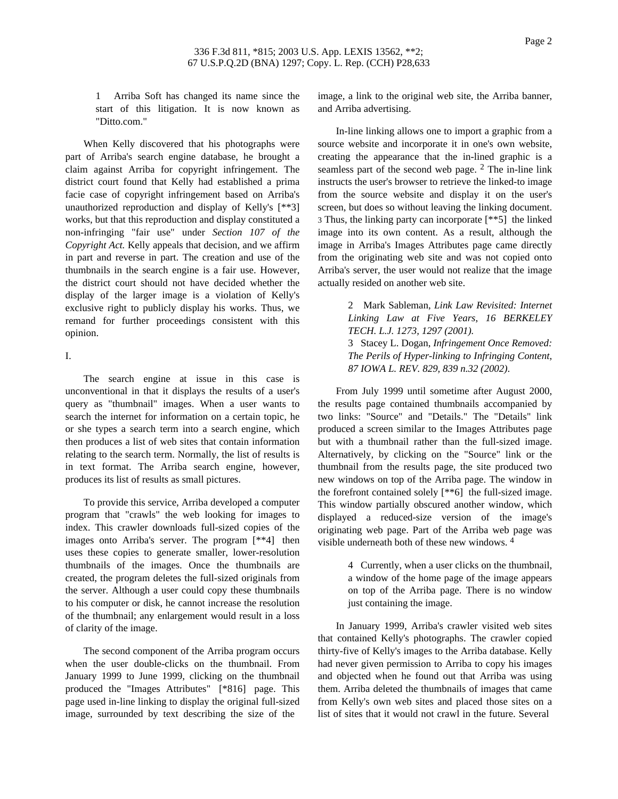1 Arriba Soft has changed its name since the start of this litigation. It is now known as "Ditto.com."

When Kelly discovered that his photographs were part of Arriba's search engine database, he brought a claim against Arriba for copyright infringement. The district court found that Kelly had established a prima facie case of copyright infringement based on Arriba's unauthorized reproduction and display of Kelly's [\*\*3] works, but that this reproduction and display constituted a non-infringing "fair use" under *Section 107 of the Copyright Act.* Kelly appeals that decision, and we affirm in part and reverse in part. The creation and use of the thumbnails in the search engine is a fair use. However, the district court should not have decided whether the display of the larger image is a violation of Kelly's exclusive right to publicly display his works. Thus, we remand for further proceedings consistent with this opinion.

## I.

The search engine at issue in this case is unconventional in that it displays the results of a user's query as "thumbnail" images. When a user wants to search the internet for information on a certain topic, he or she types a search term into a search engine, which then produces a list of web sites that contain information relating to the search term. Normally, the list of results is in text format. The Arriba search engine, however, produces its list of results as small pictures.

To provide this service, Arriba developed a computer program that "crawls" the web looking for images to index. This crawler downloads full-sized copies of the images onto Arriba's server. The program [\*\*4] then uses these copies to generate smaller, lower-resolution thumbnails of the images. Once the thumbnails are created, the program deletes the full-sized originals from the server. Although a user could copy these thumbnails to his computer or disk, he cannot increase the resolution of the thumbnail; any enlargement would result in a loss of clarity of the image.

The second component of the Arriba program occurs when the user double-clicks on the thumbnail. From January 1999 to June 1999, clicking on the thumbnail produced the "Images Attributes" [\*816] page. This page used in-line linking to display the original full-sized image, surrounded by text describing the size of the

image, a link to the original web site, the Arriba banner, and Arriba advertising.

In-line linking allows one to import a graphic from a source website and incorporate it in one's own website, creating the appearance that the in-lined graphic is a seamless part of the second web page. 2 The in-line link instructs the user's browser to retrieve the linked-to image from the source website and display it on the user's screen, but does so without leaving the linking document. 3 Thus, the linking party can incorporate [\*\*5] the linked image into its own content. As a result, although the image in Arriba's Images Attributes page came directly from the originating web site and was not copied onto Arriba's server, the user would not realize that the image actually resided on another web site.

> 2 Mark Sableman, *Link Law Revisited: Internet Linking Law at Five Years*, *16 BERKELEY TECH. L.J. 1273, 1297 (2001).* 3 Stacey L. Dogan, *Infringement Once Removed: The Perils of Hyper-linking to Infringing Content*, *87 IOWA L. REV. 829, 839 n.32 (2002)*.

From July 1999 until sometime after August 2000, the results page contained thumbnails accompanied by two links: "Source" and "Details." The "Details" link produced a screen similar to the Images Attributes page but with a thumbnail rather than the full-sized image. Alternatively, by clicking on the "Source" link or the thumbnail from the results page, the site produced two new windows on top of the Arriba page. The window in the forefront contained solely [\*\*6] the full-sized image. This window partially obscured another window, which displayed a reduced-size version of the image's originating web page. Part of the Arriba web page was visible underneath both of these new windows. 4

> 4 Currently, when a user clicks on the thumbnail, a window of the home page of the image appears on top of the Arriba page. There is no window just containing the image.

In January 1999, Arriba's crawler visited web sites that contained Kelly's photographs. The crawler copied thirty-five of Kelly's images to the Arriba database. Kelly had never given permission to Arriba to copy his images and objected when he found out that Arriba was using them. Arriba deleted the thumbnails of images that came from Kelly's own web sites and placed those sites on a list of sites that it would not crawl in the future. Several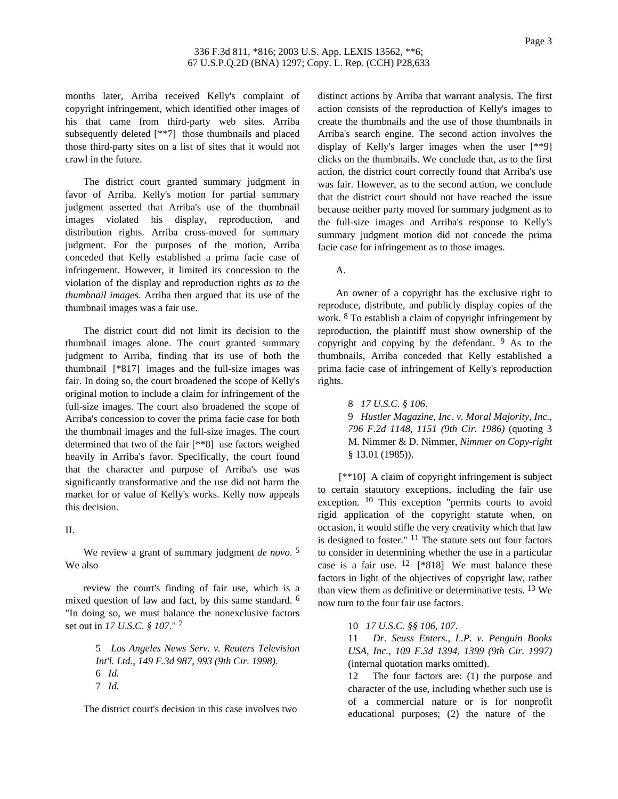months later, Arriba received Kelly's complaint of copyright infringement, which identified other images of his that came from third-party web sites. Arriba subsequently deleted [\*\*7] those thumbnails and placed those third-party sites on a list of sites that it would not crawl in the future.

The district court granted summary judgment in favor of Arriba. Kelly's motion for partial summary judgment asserted that Arriba's use of the thumbnail images violated his display, reproduction, and distribution rights. Arriba cross-moved for summary judgment. For the purposes of the motion, Arriba conceded that Kelly established a prima facie case of infringement. However, it limited its concession to the violation of the display and reproduction rights *as to the thumbnail images*. Arriba then argued that its use of the thumbnail images was a fair use.

The district court did not limit its decision to the thumbnail images alone. The court granted summary judgment to Arriba, finding that its use of both the thumbnail [\*817] images and the full-size images was fair. In doing so, the court broadened the scope of Kelly's original motion to include a claim for infringement of the full-size images. The court also broadened the scope of Arriba's concession to cover the prima facie case for both the thumbnail images and the full-size images. The court determined that two of the fair [\*\*8] use factors weighed heavily in Arriba's favor. Specifically, the court found that the character and purpose of Arriba's use was significantly transformative and the use did not harm the market for or value of Kelly's works. Kelly now appeals this decision.

II.

We review a grant of summary judgment *de novo*. 5 We also

review the court's finding of fair use, which is a mixed question of law and fact, by this same standard. 6 "In doing so, we must balance the nonexclusive factors set out in *17 U.S.C. § 107*." 7

> 5 *Los Angeles News Serv. v. Reuters Television Int'l. Ltd., 149 F.3d 987, 993 (9th Cir. 1998)*. 6 *Id.* 7 *Id.*

The district court's decision in this case involves two

distinct actions by Arriba that warrant analysis. The first action consists of the reproduction of Kelly's images to create the thumbnails and the use of those thumbnails in Arriba's search engine. The second action involves the display of Kelly's larger images when the user [\*\*9] clicks on the thumbnails. We conclude that, as to the first action, the district court correctly found that Arriba's use was fair. However, as to the second action, we conclude that the district court should not have reached the issue because neither party moved for summary judgment as to the full-size images and Arriba's response to Kelly's summary judgment motion did not concede the prima facie case for infringement as to those images.

A.

An owner of a copyright has the exclusive right to reproduce, distribute, and publicly display copies of the work. 8 To establish a claim of copyright infringement by reproduction, the plaintiff must show ownership of the copyright and copying by the defendant. 9 As to the thumbnails, Arriba conceded that Kelly established a prima facie case of infringement of Kelly's reproduction rights.

> 8 *17 U.S.C. § 106*. 9 *Hustler Magazine, Inc. v. Moral Majority, Inc., 796 F.2d 1148, 1151 (9th Cir. 1986)* (quoting 3 M. Nimmer & D. Nimmer, *Nimmer on Copy-right* § 13.01 (1985)).

[\*\*10] A claim of copyright infringement is subject to certain statutory exceptions, including the fair use exception. 10 This exception "permits courts to avoid rigid application of the copyright statute when, on occasion, it would stifle the very creativity which that law is designed to foster." 11 The statute sets out four factors to consider in determining whether the use in a particular case is a fair use.  $12$  [\*818] We must balance these factors in light of the objectives of copyright law, rather than view them as definitive or determinative tests.  $^{13}$  We now turn to the four fair use factors.

10 *17 U.S.C. §§ 106, 107*.

11 *Dr. Seuss Enters., L.P. v. Penguin Books USA, Inc., 109 F.3d 1394, 1399 (9th Cir. 1997)* (internal quotation marks omitted).

12 The four factors are: (1) the purpose and character of the use, including whether such use is of a commercial nature or is for nonprofit educational purposes; (2) the nature of the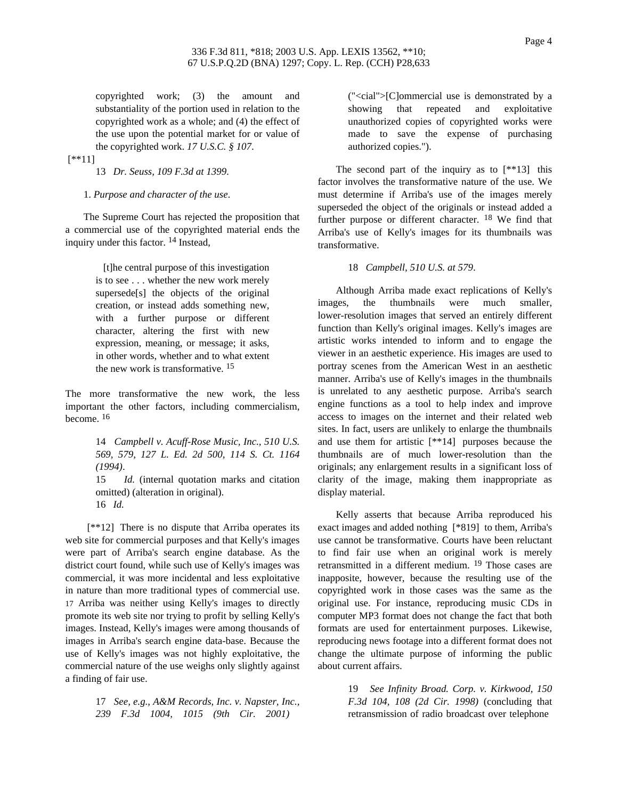copyrighted work; (3) the amount and substantiality of the portion used in relation to the copyrighted work as a whole; and (4) the effect of the use upon the potential market for or value of the copyrighted work. *17 U.S.C. § 107*.

[\*\*11]

13 *Dr. Seuss, 109 F.3d at 1399*.

1. *Purpose and character of the use*.

The Supreme Court has rejected the proposition that a commercial use of the copyrighted material ends the inquiry under this factor.  $14$  Instead,

> [t]he central purpose of this investigation is to see . . . whether the new work merely supersede[s] the objects of the original creation, or instead adds something new, with a further purpose or different character, altering the first with new expression, meaning, or message; it asks, in other words, whether and to what extent the new work is transformative. 15

The more transformative the new work, the less important the other factors, including commercialism, become. 16

> 14 *Campbell v. Acuff-Rose Music, Inc., 510 U.S. 569, 579, 127 L. Ed. 2d 500, 114 S. Ct. 1164 (1994)*.

> 15 *Id.* (internal quotation marks and citation omitted) (alteration in original). 16 *Id.*

[\*\*12] There is no dispute that Arriba operates its web site for commercial purposes and that Kelly's images were part of Arriba's search engine database. As the district court found, while such use of Kelly's images was commercial, it was more incidental and less exploitative in nature than more traditional types of commercial use. 17 Arriba was neither using Kelly's images to directly promote its web site nor trying to profit by selling Kelly's images. Instead, Kelly's images were among thousands of images in Arriba's search engine data-base. Because the use of Kelly's images was not highly exploitative, the commercial nature of the use weighs only slightly against a finding of fair use.

> 17 *See, e.g., A&M Records, Inc. v. Napster, Inc., 239 F.3d 1004, 1015 (9th Cir. 2001)*

("<cial">[C]ommercial use is demonstrated by a showing that repeated and exploitative unauthorized copies of copyrighted works were made to save the expense of purchasing authorized copies.").

The second part of the inquiry as to  $[**13]$  this factor involves the transformative nature of the use. We must determine if Arriba's use of the images merely superseded the object of the originals or instead added a further purpose or different character. 18 We find that Arriba's use of Kelly's images for its thumbnails was transformative.

18 *Campbell, 510 U.S. at 579*.

Although Arriba made exact replications of Kelly's images, the thumbnails were much smaller, lower-resolution images that served an entirely different function than Kelly's original images. Kelly's images are artistic works intended to inform and to engage the viewer in an aesthetic experience. His images are used to portray scenes from the American West in an aesthetic manner. Arriba's use of Kelly's images in the thumbnails is unrelated to any aesthetic purpose. Arriba's search engine functions as a tool to help index and improve access to images on the internet and their related web sites. In fact, users are unlikely to enlarge the thumbnails and use them for artistic [\*\*14] purposes because the thumbnails are of much lower-resolution than the originals; any enlargement results in a significant loss of clarity of the image, making them inappropriate as display material.

Kelly asserts that because Arriba reproduced his exact images and added nothing [\*819] to them, Arriba's use cannot be transformative. Courts have been reluctant to find fair use when an original work is merely retransmitted in a different medium. 19 Those cases are inapposite, however, because the resulting use of the copyrighted work in those cases was the same as the original use. For instance, reproducing music CDs in computer MP3 format does not change the fact that both formats are used for entertainment purposes. Likewise, reproducing news footage into a different format does not change the ultimate purpose of informing the public about current affairs.

> 19 *See Infinity Broad. Corp. v. Kirkwood, 150 F.3d 104, 108 (2d Cir. 1998)* (concluding that retransmission of radio broadcast over telephone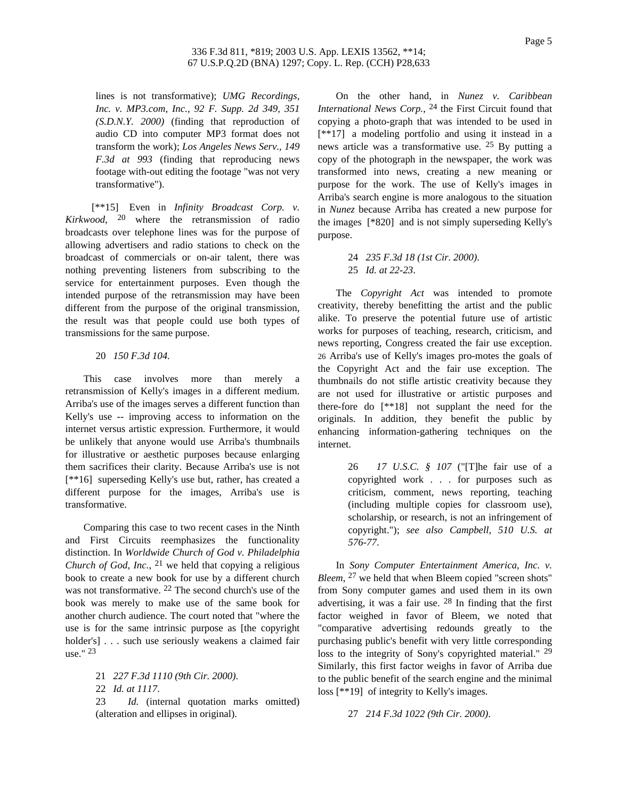lines is not transformative); *UMG Recordings, Inc. v. MP3.com, Inc., 92 F. Supp. 2d 349, 351 (S.D.N.Y. 2000)* (finding that reproduction of audio CD into computer MP3 format does not transform the work); *Los Angeles News Serv., 149 F.3d at 993* (finding that reproducing news footage with-out editing the footage "was not very transformative").

[\*\*15] Even in *Infinity Broadcast Corp. v. Kirkwood*, 20 where the retransmission of radio broadcasts over telephone lines was for the purpose of allowing advertisers and radio stations to check on the broadcast of commercials or on-air talent, there was nothing preventing listeners from subscribing to the service for entertainment purposes. Even though the intended purpose of the retransmission may have been different from the purpose of the original transmission, the result was that people could use both types of transmissions for the same purpose.

20 *150 F.3d 104*.

This case involves more than merely a retransmission of Kelly's images in a different medium. Arriba's use of the images serves a different function than Kelly's use -- improving access to information on the internet versus artistic expression. Furthermore, it would be unlikely that anyone would use Arriba's thumbnails for illustrative or aesthetic purposes because enlarging them sacrifices their clarity. Because Arriba's use is not [\*\*16] superseding Kelly's use but, rather, has created a different purpose for the images, Arriba's use is transformative.

Comparing this case to two recent cases in the Ninth and First Circuits reemphasizes the functionality distinction. In *Worldwide Church of God v. Philadelphia Church of God, Inc.*, 21 we held that copying a religious book to create a new book for use by a different church was not transformative. 22 The second church's use of the book was merely to make use of the same book for another church audience. The court noted that "where the use is for the same intrinsic purpose as [the copyright holder's] . . . such use seriously weakens a claimed fair use." 23

22 *Id. at 1117*.

23 *Id.* (internal quotation marks omitted) (alteration and ellipses in original).

On the other hand, in *Nunez v. Caribbean International News Corp.*, 24 the First Circuit found that copying a photo-graph that was intended to be used in [\*\*17] a modeling portfolio and using it instead in a news article was a transformative use. 25 By putting a copy of the photograph in the newspaper, the work was transformed into news, creating a new meaning or purpose for the work. The use of Kelly's images in Arriba's search engine is more analogous to the situation in *Nunez* because Arriba has created a new purpose for the images [\*820] and is not simply superseding Kelly's purpose.

> 24 *235 F.3d 18 (1st Cir. 2000)*. 25 *Id. at 22-23*.

The *Copyright Act* was intended to promote creativity, thereby benefitting the artist and the public alike. To preserve the potential future use of artistic works for purposes of teaching, research, criticism, and news reporting, Congress created the fair use exception. 26 Arriba's use of Kelly's images pro-motes the goals of the Copyright Act and the fair use exception. The thumbnails do not stifle artistic creativity because they are not used for illustrative or artistic purposes and there-fore do [\*\*18] not supplant the need for the originals. In addition, they benefit the public by enhancing information-gathering techniques on the internet.

> 26 *17 U.S.C. § 107* ("[T]he fair use of a copyrighted work . . . for purposes such as criticism, comment, news reporting, teaching (including multiple copies for classroom use), scholarship, or research, is not an infringement of copyright."); *see also Campbell, 510 U.S. at 576-77*.

In *Sony Computer Entertainment America, Inc. v. Bleem*, 27 we held that when Bleem copied "screen shots" from Sony computer games and used them in its own advertising, it was a fair use.  $28$  In finding that the first factor weighed in favor of Bleem, we noted that "comparative advertising redounds greatly to the purchasing public's benefit with very little corresponding loss to the integrity of Sony's copyrighted material." 29 Similarly, this first factor weighs in favor of Arriba due to the public benefit of the search engine and the minimal loss [\*\*19] of integrity to Kelly's images.

27 *214 F.3d 1022 (9th Cir. 2000)*.

<sup>21</sup> *227 F.3d 1110 (9th Cir. 2000)*.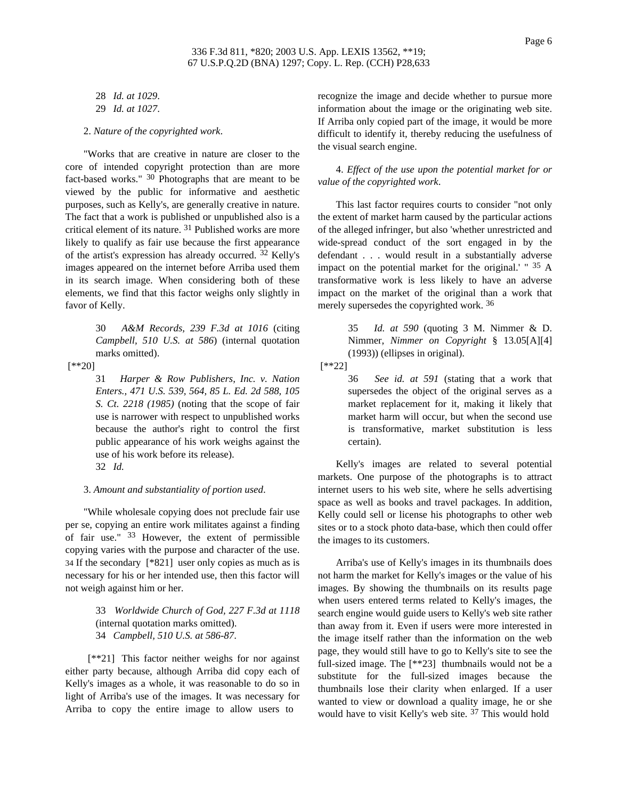28 *Id. at 1029*. 29 *Id. at 1027*.

2. *Nature of the copyrighted work*.

"Works that are creative in nature are closer to the core of intended copyright protection than are more fact-based works." <sup>30</sup> Photographs that are meant to be viewed by the public for informative and aesthetic purposes, such as Kelly's, are generally creative in nature. The fact that a work is published or unpublished also is a critical element of its nature. 31 Published works are more likely to qualify as fair use because the first appearance of the artist's expression has already occurred. 32 Kelly's images appeared on the internet before Arriba used them in its search image. When considering both of these elements, we find that this factor weighs only slightly in favor of Kelly.

> 30 *A&M Records, 239 F.3d at 1016* (citing *Campbell, 510 U.S. at 586*) (internal quotation marks omitted).

[\*\*20]

31 *Harper & Row Publishers, Inc. v. Nation Enters., 471 U.S. 539, 564, 85 L. Ed. 2d 588, 105 S. Ct. 2218 (1985)* (noting that the scope of fair use is narrower with respect to unpublished works because the author's right to control the first public appearance of his work weighs against the use of his work before its release). 32 *Id.*

3. *Amount and substantiality of portion used*.

"While wholesale copying does not preclude fair use per se, copying an entire work militates against a finding of fair use." 33 However, the extent of permissible copying varies with the purpose and character of the use. 34 If the secondary [\*821] user only copies as much as is necessary for his or her intended use, then this factor will not weigh against him or her.

> 33 *Worldwide Church of God, 227 F.3d at 1118* (internal quotation marks omitted). 34 *Campbell, 510 U.S. at 586-87*.

[\*\*21] This factor neither weighs for nor against either party because, although Arriba did copy each of Kelly's images as a whole, it was reasonable to do so in light of Arriba's use of the images. It was necessary for Arriba to copy the entire image to allow users to

recognize the image and decide whether to pursue more information about the image or the originating web site. If Arriba only copied part of the image, it would be more difficult to identify it, thereby reducing the usefulness of the visual search engine.

4. *Effect of the use upon the potential market for or value of the copyrighted work*.

This last factor requires courts to consider "not only the extent of market harm caused by the particular actions of the alleged infringer, but also 'whether unrestricted and wide-spread conduct of the sort engaged in by the defendant . . . would result in a substantially adverse impact on the potential market for the original.' " 35 A transformative work is less likely to have an adverse impact on the market of the original than a work that merely supersedes the copyrighted work. 36

> 35 *Id. at 590* (quoting 3 M. Nimmer & D. Nimmer, *Nimmer on Copyright* § 13.05[A][4] (1993)) (ellipses in original).

[\*\*22]

36 *See id. at 591* (stating that a work that supersedes the object of the original serves as a market replacement for it, making it likely that market harm will occur, but when the second use is transformative, market substitution is less certain).

Kelly's images are related to several potential markets. One purpose of the photographs is to attract internet users to his web site, where he sells advertising space as well as books and travel packages. In addition, Kelly could sell or license his photographs to other web sites or to a stock photo data-base, which then could offer the images to its customers.

Arriba's use of Kelly's images in its thumbnails does not harm the market for Kelly's images or the value of his images. By showing the thumbnails on its results page when users entered terms related to Kelly's images, the search engine would guide users to Kelly's web site rather than away from it. Even if users were more interested in the image itself rather than the information on the web page, they would still have to go to Kelly's site to see the full-sized image. The [\*\*23] thumbnails would not be a substitute for the full-sized images because the thumbnails lose their clarity when enlarged. If a user wanted to view or download a quality image, he or she would have to visit Kelly's web site. <sup>37</sup> This would hold